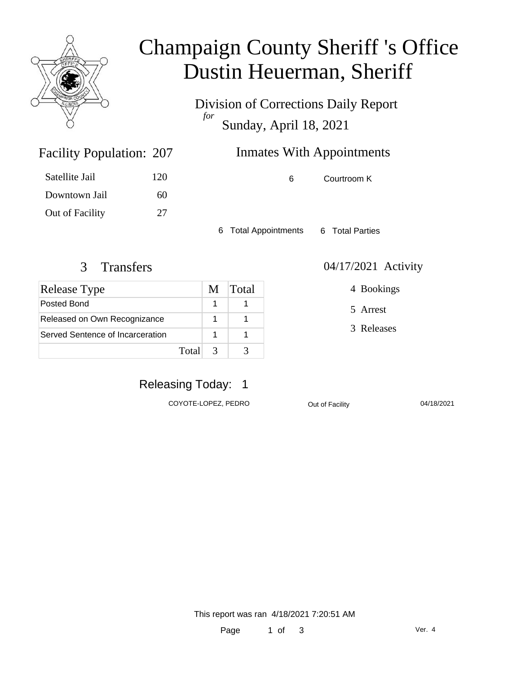

## Champaign County Sheriff 's Office Dustin Heuerman, Sheriff

Division of Corrections Daily Report *for* Sunday, April 18, 2021

### Inmates With Appointments

6 Courtroom K

6 Total Appointments 6 Total Parties

### 3 Transfers 04/17/2021 Activity

Facility Population: 207

Satellite Jail 120

Downtown Jail 60

Out of Facility 27

| Release Type                     | M | Total |
|----------------------------------|---|-------|
| Posted Bond                      |   |       |
| Released on Own Recognizance     |   |       |
| Served Sentence of Incarceration |   |       |
| Total                            | 3 |       |

### 4 Bookings

5 Arrest

3 Releases

### Releasing Today: 1

COYOTE-LOPEZ, PEDRO Out of Facility 04/18/2021

This report was ran 4/18/2021 7:20:51 AM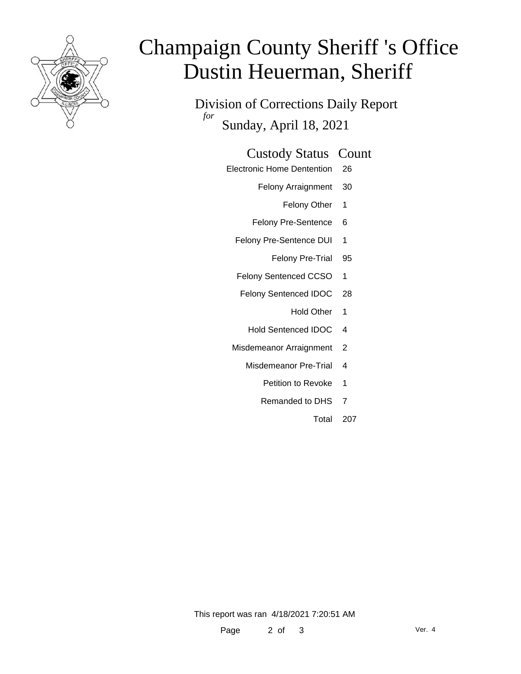

# Champaign County Sheriff 's Office Dustin Heuerman, Sheriff

Division of Corrections Daily Report *for* Sunday, April 18, 2021

#### Custody Status Count

- Electronic Home Dentention 26
	- Felony Arraignment 30
		- Felony Other 1
	- Felony Pre-Sentence 6
	- Felony Pre-Sentence DUI 1
		- Felony Pre-Trial 95
	- Felony Sentenced CCSO 1
	- Felony Sentenced IDOC 28
		- Hold Other 1
		- Hold Sentenced IDOC 4
	- Misdemeanor Arraignment 2
		- Misdemeanor Pre-Trial 4
			- Petition to Revoke 1
			- Remanded to DHS 7
				- Total 207

This report was ran 4/18/2021 7:20:51 AM